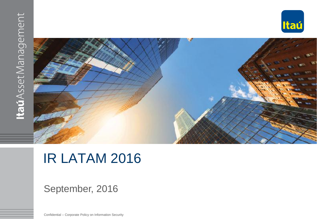



# IR LATAM 2016

### September, 2016

Confidential – Corporate Policy on Information Security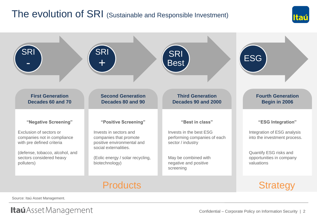# The evolution of SRI (Sustainable and Responsible Investment)





Source: Itaú Asset Management.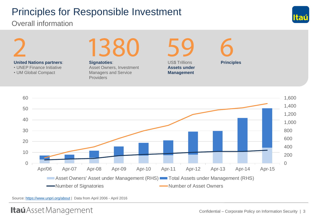# Principles for Responsible Investment

### Overall information





Source:<https://www.unpri.org/about> | Data from April 2006 - April 2016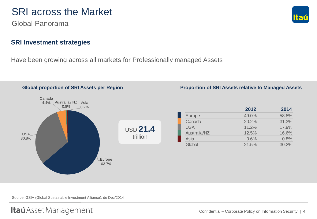### SRI across the Market

Global Panorama

### **SRI Investment strategies**

Have been growing across all markets for Professionally managed Assets



Source: GSIA (Global Sustainable Investment Alliance), de Dec/2014

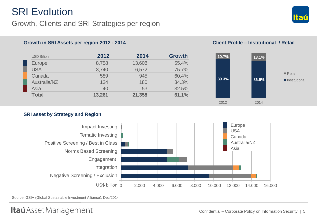### **SRI Evolution**

### Growth, Clients and SRI Strategies per region



| <b>USD Billion</b> | 2012   | 2014   | <b>Growth</b> |
|--------------------|--------|--------|---------------|
| Europe             | 8,758  | 13,608 | 55.4%         |
| <b>USA</b>         | 3,740  | 6,572  | 75.7%         |
| Canada             | 589    | 945    | 60.4%         |
| Australia/NZ       | 134    | 180    | 34.3%         |
| Asia               | 40     | 53     | 32.5%         |
| <b>Total</b>       | 13,261 | 21,358 | 61.1%         |



### **SRI asset by Strategy and Region**



Source: GSIA (Global Sustainable Investment Alliance), Dec/2014

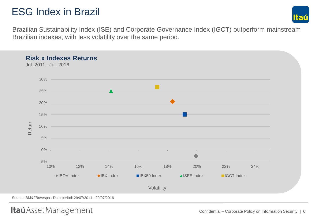# ESG Index in Brazil



Brazilian Sustainability Index (ISE) and Corporate Governance Index (IGCT) outperform mainstream Brazilian indexes, with less volatility over the same period.

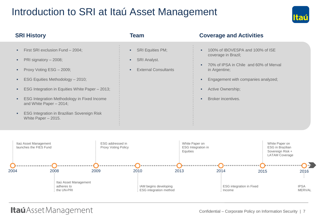### Introduction to SRI at Itaú Asset Management



| <b>SRI History</b>                                                                                                                                                                                                                                                                                                                                                      | Team                                                                                          | <b>Coverage and Activities</b>                                                                                                                                                                       |
|-------------------------------------------------------------------------------------------------------------------------------------------------------------------------------------------------------------------------------------------------------------------------------------------------------------------------------------------------------------------------|-----------------------------------------------------------------------------------------------|------------------------------------------------------------------------------------------------------------------------------------------------------------------------------------------------------|
| First SRI exclusion Fund - 2004;<br>п.<br>PRI signatory - 2008;<br>٠<br>Proxy Voting ESG - 2009;<br>٠<br>ESG Equities Methodology - 2010;<br>٠<br>ESG Integration in Equities White Paper - 2013;<br>٠<br>ESG Integration Methodology in Fixed Income<br>٠<br>and White Paper - 2014;<br><b>ESG Integration in Brazilian Sovereign Risk</b><br>٠<br>White Paper - 2015. | <b>SRI Equities PM;</b><br>×.<br><b>SRI Analyst.</b><br>×<br><b>External Consultants</b><br>٠ | 100% of IBOVESPA and 100% of ISE<br>coverage in Brazil;<br>70% of IPSA in Chile and 60% of Merval<br>in Argentine;<br>Engagement with companies analyzed;<br>Active Ownership;<br>Broker incentives. |
| Itaú Asset Management<br>launches the FIES Fund                                                                                                                                                                                                                                                                                                                         | ESG addressed in<br><b>Proxy Voting Policy</b>                                                | White Paper on<br>White Paper on<br><b>ESG</b> in Brazilian<br>ESG Integration in<br>Equities<br>Sovereign Risk +                                                                                    |

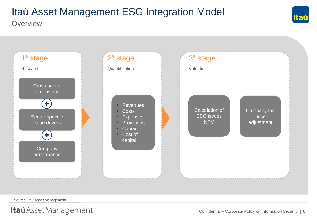**Overview** 



Source: Itaú Asset Management.



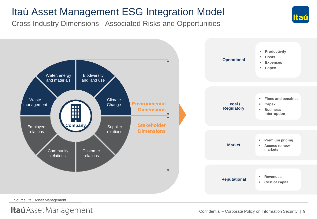Cross Industry Dimensions | Associated Risks and Opportunities



Source: Itaú Asset Management.

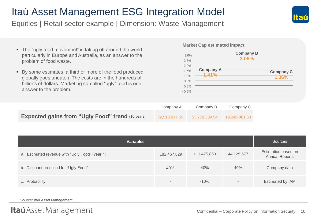Equities | Retail sector example | Dimension: Waste Management

- The "ugly food movement" is taking off around the world, particularly in Europe and Australia, as an answer to the problem of food waste.
- By some estimates, a third or more of the food produced globally goes uneaten. The costs are in the hundreds of billions of dollars. Marketing so-called "ugly" food is one answer to the problem.

### **Market Cap estimated impact**

| 3.0%    |                  | <b>Company B</b><br>3.05% |
|---------|------------------|---------------------------|
| 2.5%    |                  |                           |
| 2.0%    |                  |                           |
| 1.5%    | <b>Company A</b> | <b>Company C</b>          |
| 1.0%    | 1.41%            | 1.36%                     |
| 0.5%    |                  |                           |
| 0.0%    |                  |                           |
| $-0.5%$ |                  |                           |

|                                                         | Company A     | Company B     | Company C     |
|---------------------------------------------------------|---------------|---------------|---------------|
| <b>Expected gains from "Ugly Food" trend (10 years)</b> | 32,513,917.59 | 53,778,339.54 | 19.240.881.63 |

| <b>Variables</b>                               |             |             |            | Sources                                      |
|------------------------------------------------|-------------|-------------|------------|----------------------------------------------|
| a. Estimated revenue with "Ugly Food" (year 1) | 182,467,829 | 111,475,860 | 44,125,677 | Estimation based on<br><b>Annual Reports</b> |
| b. Discount practiced for "Ugly Food"          | 40%         | 40%         | 40%        | Company data                                 |
| c. Probability                                 | $\,$        | $-10%$      |            | Estimated by IAM                             |

Source: Itaú Asset Management.



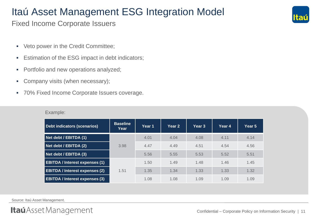Fixed Income Corporate Issuers

- Veto power in the Credit Committee;
- **Estimation of the ESG impact in debt indicators;**
- Portfolio and new operations analyzed;
- Company visits (when necessary);
- 70% Fixed Income Corporate Issuers coverage.

| Debt indicators (scenarios)           | <b>Baseline</b><br>Year | Year 1 | Year 2 | Year 3 | Year 4 | Year 5 |
|---------------------------------------|-------------------------|--------|--------|--------|--------|--------|
| Net debt / EBITDA (1)                 |                         | 4.01   | 4.04   | 4.08   | 4.11   | 4.14   |
| Net debt / EBITDA (2)                 | 3.98                    | 4.47   | 4.49   | 4.51   | 4.54   | 4.56   |
| Net debt / EBITDA (3)                 |                         | 5.56   | 5.55   | 5.53   | 5.52   | 5.51   |
| <b>EBITDA / Interest expenses (1)</b> | 1.51                    | 1.50   | 1.49   | 1.48   | 1.46   | 1.45   |
| <b>EBITDA / Interest expenses (2)</b> |                         | 1.35   | 1.34   | 1.33   | 1.33   | 1.32   |
| <b>EBITDA / Interest expenses (3)</b> |                         | 1.08   | 1.08   | 1.09   | 1.09   | 1.09   |

Example:

Source: Itaú Asset Management.